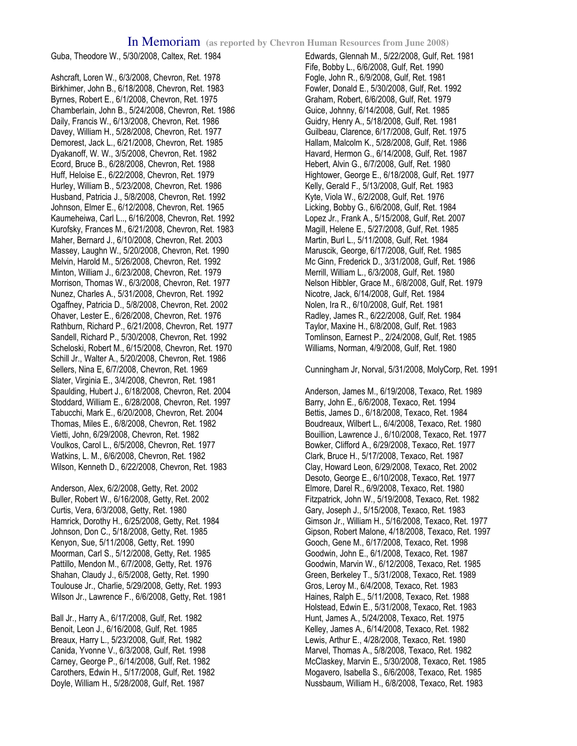Guba, Theodore W., 5/30/2008, Caltex, Ret. 1984

Ashcraft, Loren W., 6/3/2008, Chevron, Ret. 1978 Birkhimer, John B., 6/18/2008, Chevron, Ret. 1983 Byrnes, Robert E., 6/1/2008, Chevron, Ret. 1975 Chamberlain, John B., 5/24/2008, Chevron, Ret. 1986 Daily, Francis W., 6/13/2008, Chevron, Ret. 1986 Davey, William H., 5/28/2008, Chevron, Ret. 1977 Demorest, Jack L., 6/21/2008, Chevron, Ret. 1985 Dyakanoff, W. W., 3/5/2008, Chevron, Ret. 1982 Ecord, Bruce B., 6/28/2008, Chevron, Ret. 1988 Huff, Heloise E., 6/22/2008, Chevron, Ret. 1979 Hurley, William B., 5/23/2008, Chevron, Ret. 1986 Husband, Patricia J., 5/8/2008, Chevron, Ret. 1992 Johnson, Elmer E., 6/12/2008, Chevron, Ret. 1965 Kaumeheiwa, Carl L.., 6/16/2008, Chevron, Ret. 1992 Kurofsky, Frances M., 6/21/2008, Chevron, Ret. 1983 Maher, Bernard J., 6/10/2008, Chevron, Ret. 2003 Massey, Laughn W., 5/20/2008, Chevron, Ret. 1990 Melvin, Harold M., 5/26/2008, Chevron, Ret. 1992 Minton, William J., 6/23/2008, Chevron, Ret. 1979 Morrison, Thomas W., 6/3/2008, Chevron, Ret. 1977 Nunez, Charles A., 5/31/2008, Chevron, Ret. 1992 Ogaffney, Patricia D., 5/8/2008, Chevron, Ret. 2002 Ohaver, Lester E., 6/26/2008, Chevron, Ret. 1976 Rathburn, Richard P., 6/21/2008, Chevron, Ret. 1977 Sandell, Richard P., 5/30/2008, Chevron, Ret. 1992 Scheloski, Robert M., 6/15/2008, Chevron, Ret. 1970 Schill Jr., Walter A., 5/20/2008, Chevron, Ret. 1986 Sellers, Nina E, 6/7/2008, Chevron, Ret. 1969 Slater, Virginia E., 3/4/2008, Chevron, Ret. 1981 Spaulding, Hubert J., 6/18/2008, Chevron, Ret. 2004 Stoddard, William E., 6/28/2008, Chevron, Ret. 1997 Tabucchi, Mark E., 6/20/2008, Chevron, Ret. 2004 Thomas, Miles E., 6/8/2008, Chevron, Ret. 1982 Vietti, John, 6/29/2008, Chevron, Ret. 1982 Voulkos, Carol L., 6/5/2008, Chevron, Ret. 1977 Watkins, L. M., 6/6/2008, Chevron, Ret. 1982 Wilson, Kenneth D., 6/22/2008, Chevron, Ret. 1983

Anderson, Alex, 6/2/2008, Getty, Ret. 2002 Buller, Robert W., 6/16/2008, Getty, Ret. 2002 Curtis, Vera, 6/3/2008, Getty, Ret. 1980 Hamrick, Dorothy H., 6/25/2008, Getty, Ret. 1984 Johnson, Don C., 5/18/2008, Getty, Ret. 1985 Kenyon, Sue, 5/11/2008, Getty, Ret. 1990 Moorman, Carl S., 5/12/2008, Getty, Ret. 1985 Pattillo, Mendon M., 6/7/2008, Getty, Ret. 1976 Shahan, Claudy J., 6/5/2008, Getty, Ret. 1990 Toulouse Jr., Charlie, 5/29/2008, Getty, Ret. 1993 Wilson Jr., Lawrence F., 6/6/2008, Getty, Ret. 1981

Ball Jr., Harry A., 6/17/2008, Gulf, Ret. 1982 Benoit, Leon J., 6/16/2008, Gulf, Ret. 1985 Breaux, Harry L., 5/23/2008, Gulf, Ret. 1982 Canida, Yvonne V., 6/3/2008, Gulf, Ret. 1998 Carney, George P., 6/14/2008, Gulf, Ret. 1982 Carothers, Edwin H., 5/17/2008, Gulf, Ret. 1982 Doyle, William H., 5/28/2008, Gulf, Ret. 1987

Edwards, Glennah M., 5/22/2008, Gulf, Ret. 1981 Fife, Bobby L., 6/6/2008, Gulf, Ret. 1990 Fogle, John R., 6/9/2008, Gulf, Ret. 1981 Fowler, Donald E., 5/30/2008, Gulf, Ret. 1992 Graham, Robert, 6/6/2008, Gulf, Ret. 1979 Guice, Johnny, 6/14/2008, Gulf, Ret. 1985 Guidry, Henry A., 5/18/2008, Gulf, Ret. 1981 Guilbeau, Clarence, 6/17/2008, Gulf, Ret. 1975 Hallam, Malcolm K., 5/28/2008, Gulf, Ret. 1986 Havard, Hermon G., 6/14/2008, Gulf, Ret. 1987 Hebert, Alvin G., 6/7/2008, Gulf, Ret. 1980 Hightower, George E., 6/18/2008, Gulf, Ret. 1977 Kelly, Gerald F., 5/13/2008, Gulf, Ret. 1983 Kyte, Viola W., 6/2/2008, Gulf, Ret. 1976 Licking, Bobby G., 6/6/2008, Gulf, Ret. 1984 Lopez Jr., Frank A., 5/15/2008, Gulf, Ret. 2007 Magill, Helene E., 5/27/2008, Gulf, Ret. 1985 Martin, Burl L., 5/11/2008, Gulf, Ret. 1984 Maruscik, George, 6/17/2008, Gulf, Ret. 1985 Mc Ginn, Frederick D., 3/31/2008, Gulf, Ret. 1986 Merrill, William L., 6/3/2008, Gulf, Ret. 1980 Nelson Hibbler, Grace M., 6/8/2008, Gulf, Ret. 1979 Nicotre, Jack, 6/14/2008, Gulf, Ret. 1984 Nolen, Ira R., 6/10/2008, Gulf, Ret. 1981 Radley, James R., 6/22/2008, Gulf, Ret. 1984 Taylor, Maxine H., 6/8/2008, Gulf, Ret. 1983 Tomlinson, Earnest P., 2/24/2008, Gulf, Ret. 1985 Williams, Norman, 4/9/2008, Gulf, Ret. 1980

Cunningham Jr, Norval, 5/31/2008, MolyCorp, Ret. 1991

Anderson, James M., 6/19/2008, Texaco, Ret. 1989 Barry, John E., 6/6/2008, Texaco, Ret. 1994 Bettis, James D., 6/18/2008, Texaco, Ret. 1984 Boudreaux, Wilbert L., 6/4/2008, Texaco, Ret. 1980 Bouillion, Lawrence J., 6/10/2008, Texaco, Ret. 1977 Bowker, Clifford A., 6/29/2008, Texaco, Ret. 1977 Clark, Bruce H., 5/17/2008, Texaco, Ret. 1987 Clay, Howard Leon, 6/29/2008, Texaco, Ret. 2002 Desoto, George E., 6/10/2008, Texaco, Ret. 1977 Elmore, Darel R., 6/9/2008, Texaco, Ret. 1980 Fitzpatrick, John W., 5/19/2008, Texaco, Ret. 1982 Gary, Joseph J., 5/15/2008, Texaco, Ret. 1983 Gimson Jr., William H., 5/16/2008, Texaco, Ret. 1977 Gipson, Robert Malone, 4/18/2008, Texaco, Ret. 1997 Gooch, Gene M., 6/17/2008, Texaco, Ret. 1998 Goodwin, John E., 6/1/2008, Texaco, Ret. 1987 Goodwin, Marvin W., 6/12/2008, Texaco, Ret. 1985 Green, Berkeley T., 5/31/2008, Texaco, Ret. 1989 Gros, Leroy M., 6/4/2008, Texaco, Ret. 1983 Haines, Ralph E., 5/11/2008, Texaco, Ret. 1988 Holstead, Edwin E., 5/31/2008, Texaco, Ret. 1983 Hunt, James A., 5/24/2008, Texaco, Ret. 1975 Kelley, James A., 6/14/2008, Texaco, Ret. 1982 Lewis, Arthur E., 4/28/2008, Texaco, Ret. 1980 Marvel, Thomas A., 5/8/2008, Texaco, Ret. 1982 McClaskey, Marvin E., 5/30/2008, Texaco, Ret. 1985 Mogavero, Isabella S., 6/6/2008, Texaco, Ret. 1985 Nussbaum, William H., 6/8/2008, Texaco, Ret. 1983